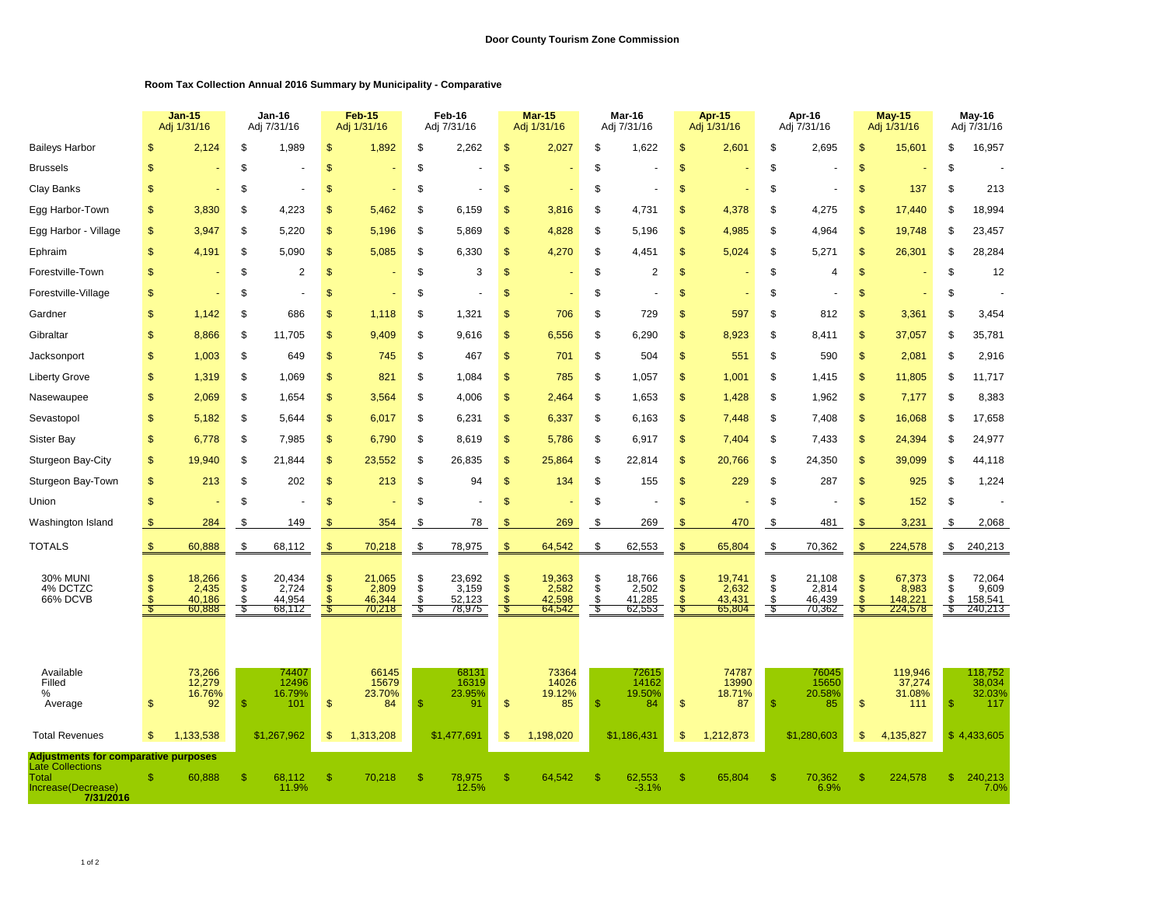## **Room Tax Collection Annual 2016 Summary by Municipality - Comparative**

|                                                                                                                    | <b>Jan-15</b><br>Adj 1/31/16 |                                     | Jan-16<br>Adj 7/31/16         |                                     | <b>Feb-15</b><br>Adj 1/31/16 |                                     | Feb-16<br>Adj 7/31/16 |                                     | Mar-15<br>Adj 1/31/16                              |                                     | Mar-16<br>Adj 7/31/16         |                                     | Apr-15<br>Adj 1/31/16 |                                     | Apr-16<br>Adj 7/31/16 |                                     | <b>May-15</b><br>Adj 1/31/16    |                                       | May-16<br>Adj 7/31/16 |                                       |
|--------------------------------------------------------------------------------------------------------------------|------------------------------|-------------------------------------|-------------------------------|-------------------------------------|------------------------------|-------------------------------------|-----------------------|-------------------------------------|----------------------------------------------------|-------------------------------------|-------------------------------|-------------------------------------|-----------------------|-------------------------------------|-----------------------|-------------------------------------|---------------------------------|---------------------------------------|-----------------------|---------------------------------------|
| <b>Baileys Harbor</b>                                                                                              | S                            | 2,124                               | \$                            | 1,989                               | \$                           | 1,892                               | \$                    | 2,262                               | $\mathsf{\$}$                                      | 2,027                               | \$                            | 1,622                               | \$                    | 2,601                               | \$                    | 2,695                               | \$                              | 15,601                                | \$                    | 16,957                                |
| <b>Brussels</b>                                                                                                    | \$                           |                                     | \$                            |                                     | \$                           |                                     | \$                    |                                     | $\mathfrak{s}$                                     |                                     | \$                            |                                     | \$                    |                                     | \$                    |                                     | \$                              |                                       | \$                    |                                       |
| Clay Banks                                                                                                         | \$                           |                                     | \$                            |                                     | \$                           |                                     | \$                    |                                     | $\mathfrak{s}$                                     |                                     | \$                            |                                     | \$                    |                                     | \$                    |                                     | \$                              | 137                                   | \$                    | 213                                   |
| Egg Harbor-Town                                                                                                    | \$                           | 3,830                               | S                             | 4,223                               | <sup>\$</sup>                | 5,462                               | S                     | 6,159                               | \$                                                 | 3,816                               | S                             | 4,731                               | S                     | 4,378                               | S                     | 4,275                               | $\mathbb{S}$                    | 17,440                                | \$                    | 18,994                                |
| Egg Harbor - Village                                                                                               | \$                           | 3,947                               | S                             | 5,220                               | \$                           | 5,196                               | \$                    | 5,869                               | $\mathfrak{s}$                                     | 4,828                               | \$                            | 5,196                               | S                     | 4,985                               | \$                    | 4,964                               | \$                              | 19,748                                | \$                    | 23,457                                |
| Ephraim                                                                                                            | \$                           | 4,191                               | S                             | 5,090                               | \$                           | 5,085                               | \$                    | 6,330                               | $\mathfrak{s}$                                     | 4,270                               | \$                            | 4,451                               | \$                    | 5,024                               | \$                    | 5,271                               | \$                              | 26,301                                | S                     | 28,284                                |
| Forestville-Town                                                                                                   | \$                           |                                     | \$                            | $\overline{2}$                      | \$                           |                                     | \$                    | 3                                   | $\mathsf{\$}$                                      |                                     | \$                            | $\overline{2}$                      | \$                    |                                     | \$                    | $\overline{4}$                      | $\mathsf{\$}$                   |                                       | \$                    | 12                                    |
| Forestville-Village                                                                                                | \$                           |                                     | \$                            |                                     | <sup>\$</sup>                |                                     | \$                    |                                     | <sup>\$</sup>                                      |                                     | \$                            |                                     | \$                    |                                     | \$                    |                                     | \$                              |                                       | \$                    |                                       |
| Gardner                                                                                                            | \$                           | 1,142                               | \$                            | 686                                 | S                            | 1,118                               | \$                    | 1,321                               | \$                                                 | 706                                 | \$                            | 729                                 | S                     | 597                                 | \$                    | 812                                 | \$                              | 3,361                                 | \$                    | 3,454                                 |
| Gibraltar                                                                                                          | \$                           | 8,866                               | \$                            | 11,705                              | \$                           | 9,409                               | \$                    | 9,616                               | $\sqrt[6]{3}$                                      | 6,556                               | \$                            | 6,290                               | \$                    | 8,923                               | \$                    | 8,411                               | \$                              | 37,057                                | \$                    | 35,781                                |
| Jacksonport                                                                                                        | \$                           | 1,003                               | \$                            | 649                                 | \$                           | 745                                 | \$                    | 467                                 | $\frac{1}{2}$                                      | 701                                 | \$                            | 504                                 | \$                    | 551                                 | \$                    | 590                                 | \$                              | 2,081                                 | \$                    | 2,916                                 |
| <b>Liberty Grove</b>                                                                                               | \$                           | 1,319                               | \$                            | 1,069                               | $\mathfrak{s}$               | 821                                 | \$                    | 1,084                               | $\mathfrak{s}$                                     | 785                                 | \$                            | 1,057                               | \$                    | 1,001                               | \$                    | 1,415                               | \$                              | 11,805                                | \$                    | 11,717                                |
| Nasewaupee                                                                                                         | \$                           | 2,069                               | \$                            | 1,654                               | \$                           | 3,564                               | \$                    | 4,006                               | $\mathfrak{s}$                                     | 2,464                               | \$                            | 1,653                               | \$                    | 1,428                               | \$                    | 1,962                               | \$                              | 7,177                                 | \$                    | 8,383                                 |
| Sevastopol                                                                                                         | \$                           | 5,182                               | \$                            | 5,644                               | \$                           | 6,017                               | \$                    | 6,231                               | $\mathfrak{s}$                                     | 6,337                               | \$                            | 6,163                               | \$                    | 7,448                               | \$                    | 7,408                               | \$                              | 16,068                                | \$                    | 17,658                                |
| <b>Sister Bay</b>                                                                                                  | \$                           | 6,778                               | \$                            | 7,985                               | \$                           | 6,790                               | \$                    | 8,619                               | $\frac{1}{2}$                                      | 5,786                               | \$                            | 6,917                               | \$                    | 7,404                               | \$                    | 7,433                               | \$                              | 24,394                                | \$                    | 24,977                                |
| Sturgeon Bay-City                                                                                                  | \$                           | 19,940                              | \$                            | 21,844                              | \$                           | 23,552                              | \$                    | 26,835                              | $\frac{1}{2}$                                      | 25,864                              | \$                            | 22,814                              | \$                    | 20,766                              | \$                    | 24,350                              | \$                              | 39,099                                | \$                    | 44,118                                |
| Sturgeon Bay-Town                                                                                                  | \$                           | 213                                 | \$                            | 202                                 | \$                           | 213                                 | \$                    | 94                                  | \$                                                 | 134                                 | \$                            | 155                                 | \$                    | 229                                 | \$                    | 287                                 | \$                              | 925                                   | \$                    | 1,224                                 |
| Union                                                                                                              | $\mathfrak{s}$               |                                     | \$                            |                                     | \$                           |                                     | \$                    |                                     | \$                                                 |                                     | \$                            |                                     | \$                    |                                     | \$                    |                                     | \$                              | 152                                   | \$                    |                                       |
| Washington Island                                                                                                  | $\mathfrak{F}$               | 284                                 | \$                            | 149                                 | \$.                          | 354                                 | \$                    | 78                                  | -S                                                 | 269                                 | \$                            | 269                                 | \$                    | 470                                 | \$                    | 481                                 | \$                              | 3,231                                 | \$                    | 2,068                                 |
| <b>TOTALS</b>                                                                                                      | $\mathfrak{F}$               | 60,888                              | $\boldsymbol{\mathsf{S}}$     | 68,112                              | $\frac{1}{2}$                | 70,218                              | \$                    | 78,975                              | $\sqrt[3]{2}$                                      | 64,542                              | \$                            | 62,553                              | \$                    | 65,804                              | \$                    | 70,362                              | \$                              | 224,578                               | $\frac{1}{2}$         | 240,213                               |
| <b>30% MUNI</b><br>4% DCTZC<br>66% DCVB                                                                            | S<br>\$<br>S<br>- 5          | 18,266<br>2,435<br>40,186<br>60,888 | $\frac{\$}{\$}$<br>\$<br>- \$ | 20,434<br>2,724<br>44,954<br>68,112 | \$<br>$\mathfrak{s}$         | 21,065<br>2,809<br>46,344<br>70,218 | \$<br>\$<br>\$        | 23,692<br>3,159<br>52,123<br>78,975 | $\mathfrak{s}$<br>$\sqrt[6]{3}$<br><b>S</b><br>-\$ | 19,363<br>2,582<br>42,598<br>64,542 | \$<br>$\ddot{\$}$<br>\$<br>S, | 18,766<br>2,502<br>41,285<br>62,553 | \$<br>\$              | 19,741<br>2,632<br>43,431<br>65,804 | \$<br>\$<br>\$        | 21,108<br>2,814<br>46,439<br>70,362 | \$<br>\$<br>$\mathcal{S}$<br>-S | 67,373<br>8,983<br>148,221<br>224,578 | \$<br>\$<br>\$<br>S,  | 72,064<br>9,609<br>158,541<br>240,213 |
| Available<br>Filled<br>%<br>Average                                                                                | \$                           | 73,266<br>12,279<br>16.76%<br>92    | <b>R</b>                      | 74407<br>12496<br>16.79%<br>101     | $\mathfrak{s}$               | 66145<br>15679<br>23.70%<br>84      | $\mathfrak{s}$        | 68131<br>16319<br>23.95%<br>91      | $\frac{1}{2}$                                      | 73364<br>14026<br>19.12%<br>85      | <b>S</b>                      | 72615<br>14162<br>19.50%<br>84      | \$                    | 74787<br>13990<br>18.71%<br>87      | \$                    | 76045<br>15650<br>20.58%<br>85      | \$                              | 119,946<br>37,274<br>31.08%<br>111    | <b>S</b>              | 118,752<br>38,034<br>32.03%<br>117    |
| <b>Total Revenues</b>                                                                                              | $\mathfrak{s}$               | 1,133,538                           |                               | \$1,267,962                         | \$                           | 1,313,208                           |                       | \$1,477,691                         | \$                                                 | 1,198,020                           |                               | \$1,186,431                         | \$.                   | 1,212,873                           |                       | \$1,280,603                         | \$                              | 4,135,827                             |                       | \$4,433,605                           |
| <b>Adjustments for comparative purposes</b><br><b>Late Collections</b><br>Total<br>Increase(Decrease)<br>7/31/2016 | Я                            | 60,888                              | -S                            | 68.112<br>11.9%                     | -S                           | 70,218                              | -S                    | 78,975<br>12.5%                     | <sup>\$</sup>                                      | 64.542                              |                               | 62.553<br>$-3.1%$                   | ß.                    | 65,804                              | \$.                   | 70.362<br>6.9%                      | \$                              | 224,578                               | £.                    | 240,213<br>7.0%                       |